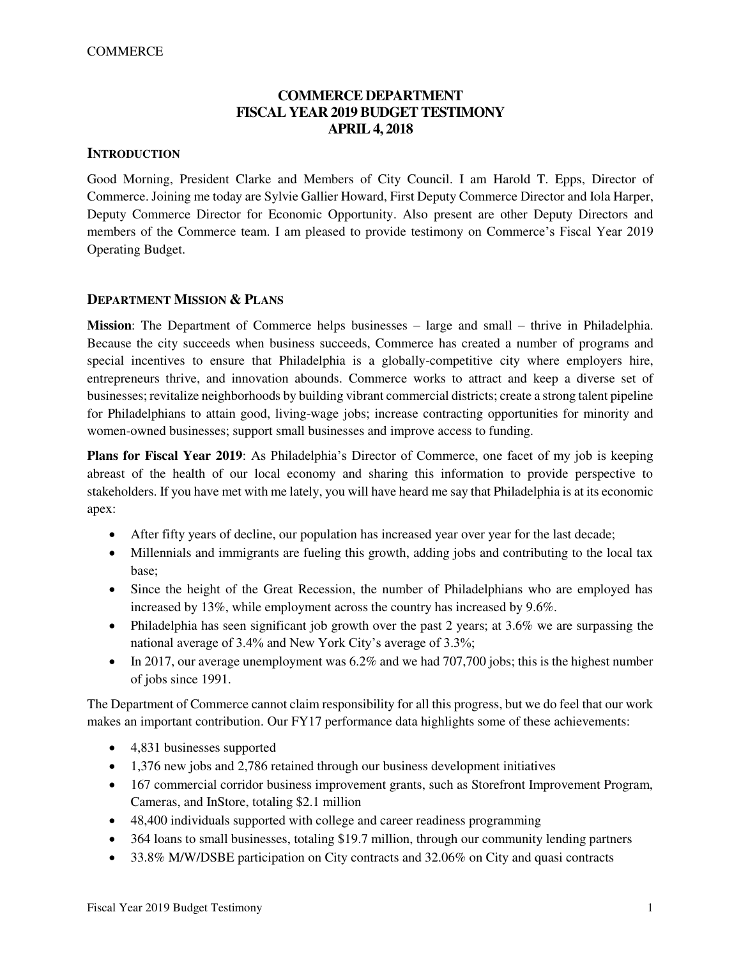# **COMMERCE DEPARTMENT FISCAL YEAR 2019 BUDGET TESTIMONY APRIL 4, 2018**

## **INTRODUCTION**

Good Morning, President Clarke and Members of City Council. I am Harold T. Epps, Director of Commerce. Joining me today are Sylvie Gallier Howard, First Deputy Commerce Director and Iola Harper, Deputy Commerce Director for Economic Opportunity. Also present are other Deputy Directors and members of the Commerce team. I am pleased to provide testimony on Commerce's Fiscal Year 2019 Operating Budget.

## **DEPARTMENT MISSION & PLANS**

**Mission**: The Department of Commerce helps businesses – large and small – thrive in Philadelphia. Because the city succeeds when business succeeds, Commerce has created a number of programs and special incentives to ensure that Philadelphia is a globally-competitive city where employers hire, entrepreneurs thrive, and innovation abounds. Commerce works to attract and keep a diverse set of businesses; revitalize neighborhoods by building vibrant commercial districts; create a strong talent pipeline for Philadelphians to attain good, living-wage jobs; increase contracting opportunities for minority and women-owned businesses; support small businesses and improve access to funding.

**Plans for Fiscal Year 2019**: As Philadelphia's Director of Commerce, one facet of my job is keeping abreast of the health of our local economy and sharing this information to provide perspective to stakeholders. If you have met with me lately, you will have heard me say that Philadelphia is at its economic apex:

- After fifty years of decline, our population has increased year over year for the last decade;
- Millennials and immigrants are fueling this growth, adding jobs and contributing to the local tax base;
- Since the height of the Great Recession, the number of Philadelphians who are employed has increased by 13%, while employment across the country has increased by 9.6%.
- Philadelphia has seen significant job growth over the past 2 years; at 3.6% we are surpassing the national average of 3.4% and New York City's average of 3.3%;
- In 2017, our average unemployment was  $6.2\%$  and we had  $707,700$  jobs; this is the highest number of jobs since 1991.

The Department of Commerce cannot claim responsibility for all this progress, but we do feel that our work makes an important contribution. Our FY17 performance data highlights some of these achievements:

- 4,831 businesses supported
- 1,376 new jobs and 2,786 retained through our business development initiatives
- 167 commercial corridor business improvement grants, such as Storefront Improvement Program, Cameras, and InStore, totaling \$2.1 million
- 48,400 individuals supported with college and career readiness programming
- 364 loans to small businesses, totaling \$19.7 million, through our community lending partners
- 33.8% M/W/DSBE participation on City contracts and 32.06% on City and quasi contracts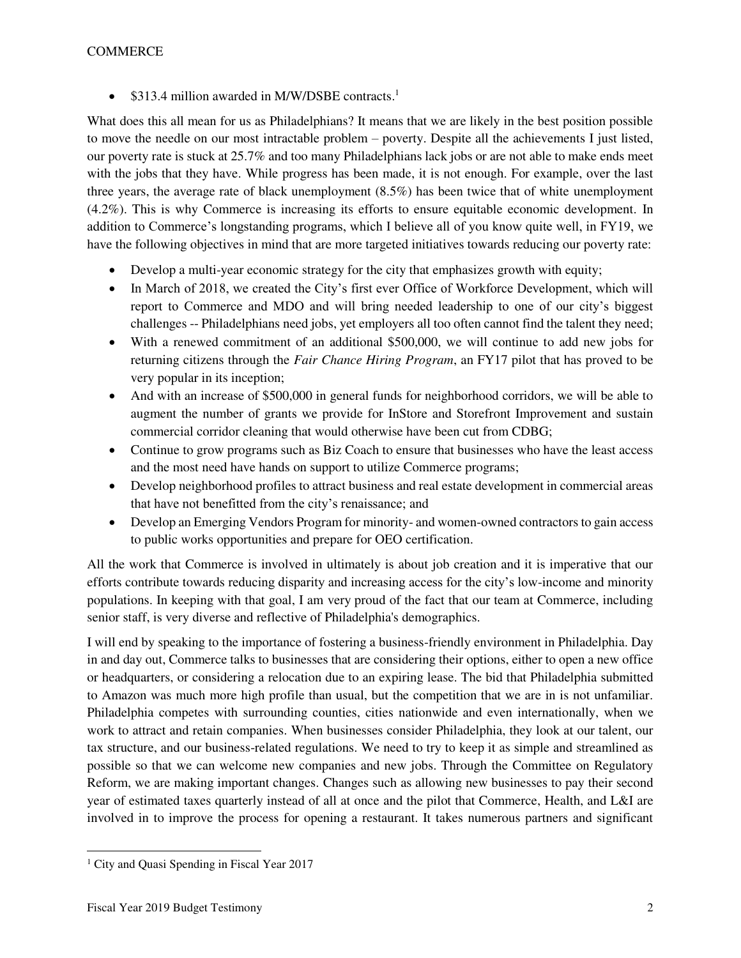• \$313.4 million awarded in M/W/DSBE contracts.<sup>1</sup>

What does this all mean for us as Philadelphians? It means that we are likely in the best position possible to move the needle on our most intractable problem – poverty. Despite all the achievements I just listed, our poverty rate is stuck at 25.7% and too many Philadelphians lack jobs or are not able to make ends meet with the jobs that they have. While progress has been made, it is not enough. For example, over the last three years, the average rate of black unemployment (8.5%) has been twice that of white unemployment (4.2%). This is why Commerce is increasing its efforts to ensure equitable economic development. In addition to Commerce's longstanding programs, which I believe all of you know quite well, in FY19, we have the following objectives in mind that are more targeted initiatives towards reducing our poverty rate:

- Develop a multi-year economic strategy for the city that emphasizes growth with equity;
- In March of 2018, we created the City's first ever Office of Workforce Development, which will report to Commerce and MDO and will bring needed leadership to one of our city's biggest challenges -- Philadelphians need jobs, yet employers all too often cannot find the talent they need;
- With a renewed commitment of an additional \$500,000, we will continue to add new jobs for returning citizens through the *Fair Chance Hiring Program*, an FY17 pilot that has proved to be very popular in its inception;
- And with an increase of \$500,000 in general funds for neighborhood corridors, we will be able to augment the number of grants we provide for InStore and Storefront Improvement and sustain commercial corridor cleaning that would otherwise have been cut from CDBG;
- Continue to grow programs such as Biz Coach to ensure that businesses who have the least access and the most need have hands on support to utilize Commerce programs;
- Develop neighborhood profiles to attract business and real estate development in commercial areas that have not benefitted from the city's renaissance; and
- Develop an Emerging Vendors Program for minority- and women-owned contractors to gain access to public works opportunities and prepare for OEO certification.

All the work that Commerce is involved in ultimately is about job creation and it is imperative that our efforts contribute towards reducing disparity and increasing access for the city's low-income and minority populations. In keeping with that goal, I am very proud of the fact that our team at Commerce, including senior staff, is very diverse and reflective of Philadelphia's demographics.

I will end by speaking to the importance of fostering a business-friendly environment in Philadelphia. Day in and day out, Commerce talks to businesses that are considering their options, either to open a new office or headquarters, or considering a relocation due to an expiring lease. The bid that Philadelphia submitted to Amazon was much more high profile than usual, but the competition that we are in is not unfamiliar. Philadelphia competes with surrounding counties, cities nationwide and even internationally, when we work to attract and retain companies. When businesses consider Philadelphia, they look at our talent, our tax structure, and our business-related regulations. We need to try to keep it as simple and streamlined as possible so that we can welcome new companies and new jobs. Through the Committee on Regulatory Reform, we are making important changes. Changes such as allowing new businesses to pay their second year of estimated taxes quarterly instead of all at once and the pilot that Commerce, Health, and L&I are involved in to improve the process for opening a restaurant. It takes numerous partners and significant

 $\overline{a}$ <sup>1</sup> City and Quasi Spending in Fiscal Year 2017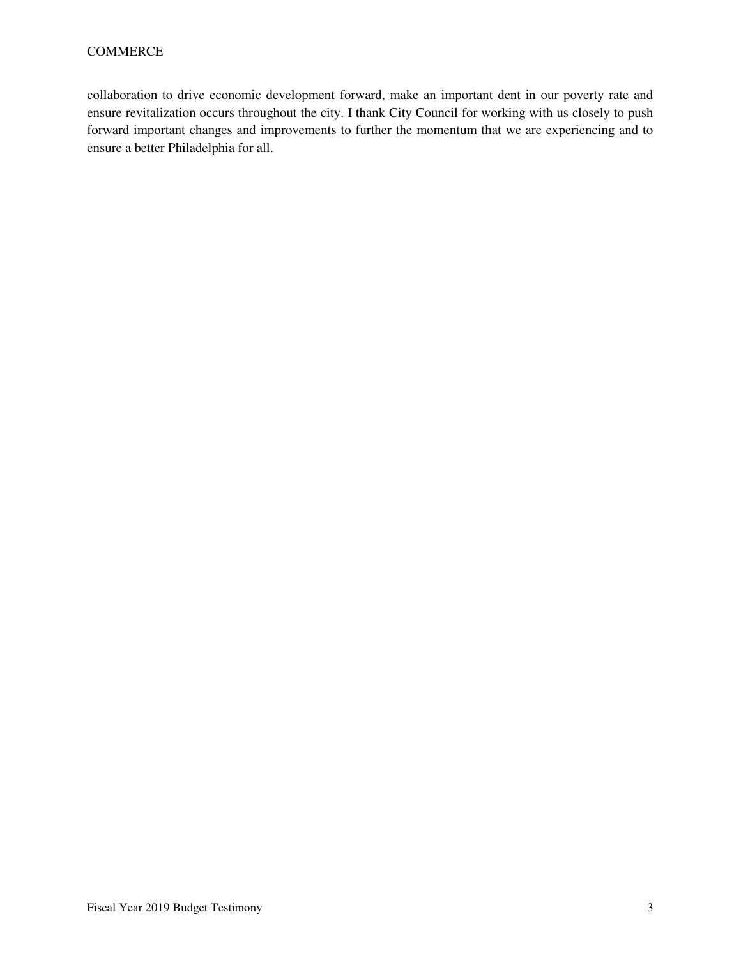collaboration to drive economic development forward, make an important dent in our poverty rate and ensure revitalization occurs throughout the city. I thank City Council for working with us closely to push forward important changes and improvements to further the momentum that we are experiencing and to ensure a better Philadelphia for all.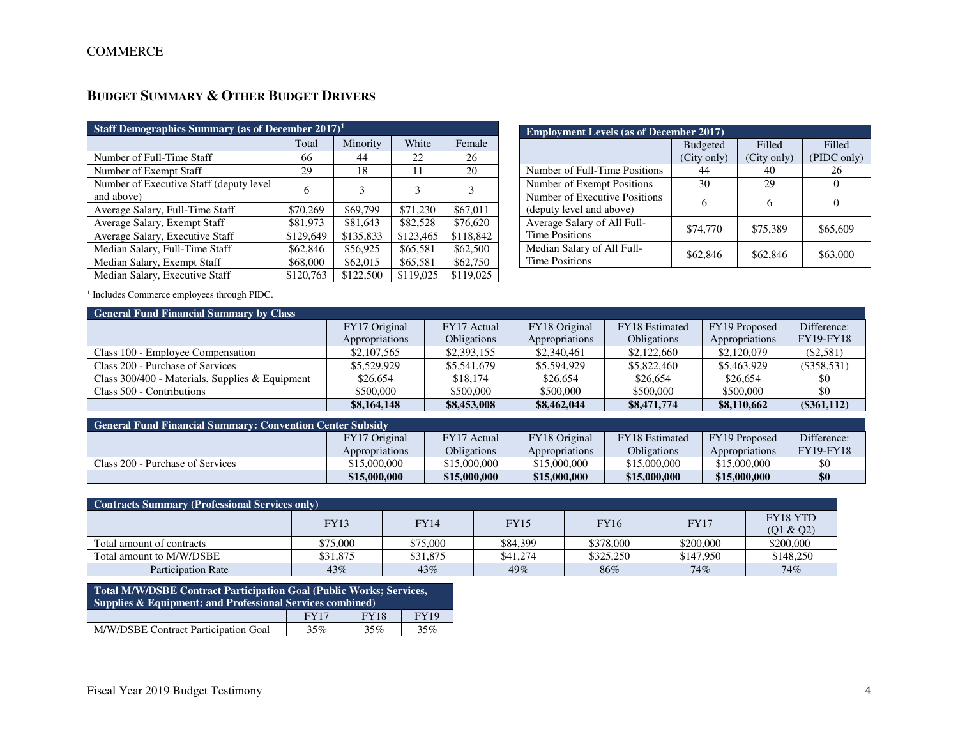# **BUDGET SUMMARY & OTHER BUDGET DRIVERS**

| Staff Demographics Summary (as of December $2017$ ) <sup>1</sup> |           |           |           |           |  |  |  |  |  |
|------------------------------------------------------------------|-----------|-----------|-----------|-----------|--|--|--|--|--|
|                                                                  | Total     | Minority  | White     | Female    |  |  |  |  |  |
| Number of Full-Time Staff                                        | 66        | 44        | 22        | 26        |  |  |  |  |  |
| Number of Exempt Staff                                           | 29        | 18        | 11        | 20        |  |  |  |  |  |
| Number of Executive Staff (deputy level)<br>and above)           | 6         | 3         | 3         | 3         |  |  |  |  |  |
| Average Salary, Full-Time Staff                                  | \$70,269  | \$69,799  | \$71,230  | \$67,011  |  |  |  |  |  |
| Average Salary, Exempt Staff                                     | \$81,973  | \$81,643  | \$82,528  | \$76,620  |  |  |  |  |  |
| Average Salary, Executive Staff                                  | \$129,649 | \$135,833 | \$123,465 | \$118,842 |  |  |  |  |  |
| Median Salary, Full-Time Staff                                   | \$62,846  | \$56,925  | \$65,581  | \$62,500  |  |  |  |  |  |
| Median Salary, Exempt Staff                                      | \$68,000  | \$62,015  | \$65,581  | \$62,750  |  |  |  |  |  |
| Median Salary, Executive Staff                                   | \$120,763 | \$122,500 | \$119,025 | \$119,025 |  |  |  |  |  |

| <b>Employment Levels (as of December 2017)</b> |                 |             |             |  |  |  |  |  |  |
|------------------------------------------------|-----------------|-------------|-------------|--|--|--|--|--|--|
|                                                | <b>Budgeted</b> | Filled      | Filled      |  |  |  |  |  |  |
|                                                | (City only)     | (City only) | (PIDC only) |  |  |  |  |  |  |
| Number of Full-Time Positions                  | 44              | 40          | 26          |  |  |  |  |  |  |
| Number of Exempt Positions                     | 30              | 29          |             |  |  |  |  |  |  |
| Number of Executive Positions                  | 6               | 6           |             |  |  |  |  |  |  |
| (deputy level and above)                       |                 |             |             |  |  |  |  |  |  |
| Average Salary of All Full-                    | \$74,770        | \$75,389    | \$65,609    |  |  |  |  |  |  |
| <b>Time Positions</b>                          |                 |             |             |  |  |  |  |  |  |
| Median Salary of All Full-                     | \$62,846        | \$62,846    | \$63,000    |  |  |  |  |  |  |
| <b>Time Positions</b>                          |                 |             |             |  |  |  |  |  |  |

1 Includes Commerce employees through PIDC.

| <b>General Fund Financial Summary by Class</b>    |                |                    |                |                    |                |                  |  |  |  |  |
|---------------------------------------------------|----------------|--------------------|----------------|--------------------|----------------|------------------|--|--|--|--|
|                                                   | FY17 Original  | FY17 Actual        | FY18 Original  | FY18 Estimated     | FY19 Proposed  | Difference:      |  |  |  |  |
|                                                   | Appropriations | <b>Obligations</b> | Appropriations | <b>Obligations</b> | Appropriations | <b>FY19-FY18</b> |  |  |  |  |
| Class 100 - Employee Compensation                 | \$2,107,565    | \$2,393,155        | \$2,340,461    | \$2,122,660        | \$2,120,079    | $(\$2,581)$      |  |  |  |  |
| Class 200 - Purchase of Services                  | \$5,529,929    | \$5,541,679        | \$5,594,929    | \$5,822,460        | \$5,463,929    | $(\$358,531)$    |  |  |  |  |
| Class $300/400$ - Materials, Supplies & Equipment | \$26,654       | \$18,174           | \$26,654       | \$26,654           | \$26,654       | \$0              |  |  |  |  |
| Class 500 - Contributions                         | \$500,000      | \$500,000          | \$500,000      | \$500,000          | \$500,000      | \$0              |  |  |  |  |
|                                                   | \$8,164,148    | \$8,453,008        | \$8,462,044    | \$8,471,774        | \$8,110,662    | $(\$361,112)$    |  |  |  |  |

| General Fund Financial Summary: Convention Center Subsidy |                |              |                |                       |                |                  |  |  |  |  |
|-----------------------------------------------------------|----------------|--------------|----------------|-----------------------|----------------|------------------|--|--|--|--|
|                                                           | FY17 Original  | FY17 Actual  | FY18 Original  | <b>FY18</b> Estimated | FY19 Proposed  | Difference:      |  |  |  |  |
|                                                           | Appropriations | Obligations  | Appropriations | <b>Obligations</b>    | Appropriations | <b>FY19-FY18</b> |  |  |  |  |
| Class 200 - Purchase of Services                          | \$15,000,000   | \$15,000,000 | \$15,000,000   | \$15,000,000          | \$15,000,000   |                  |  |  |  |  |
|                                                           | \$15,000,000   | \$15,000,000 | \$15,000,000   | \$15,000,000          | \$15,000,000   |                  |  |  |  |  |

| <b>Contracts Summary (Professional Services only)</b> |          |             |             |             |             |                 |  |  |  |
|-------------------------------------------------------|----------|-------------|-------------|-------------|-------------|-----------------|--|--|--|
|                                                       | FY13     | <b>FY14</b> | <b>FY15</b> | <b>FY16</b> | <b>FY17</b> | <b>FY18 YTD</b> |  |  |  |
|                                                       |          |             |             |             |             | (Q1 & Q2)       |  |  |  |
| Total amount of contracts                             | \$75.000 | \$75,000    | \$84,399    | \$378,000   | \$200,000   | \$200,000       |  |  |  |
| Total amount to M/W/DSBE                              | \$31.875 | \$31,875    | \$41,274    | \$325,250   | \$147,950   | \$148,250       |  |  |  |
| <b>Participation Rate</b>                             | 43%      | 43%         | 49%         | 86%         | $74\%$      | 74%             |  |  |  |

| Total M/W/DSBE Contract Participation Goal (Public Works; Services,<br>Supplies $\&$ Equipment; and Professional Services combined) |             |             |             |  |  |  |  |  |
|-------------------------------------------------------------------------------------------------------------------------------------|-------------|-------------|-------------|--|--|--|--|--|
|                                                                                                                                     | <b>FY17</b> | <b>FY18</b> | <b>FY19</b> |  |  |  |  |  |
| M/W/DSBE Contract Participation Goal                                                                                                | 35%         | 35%         | 35%         |  |  |  |  |  |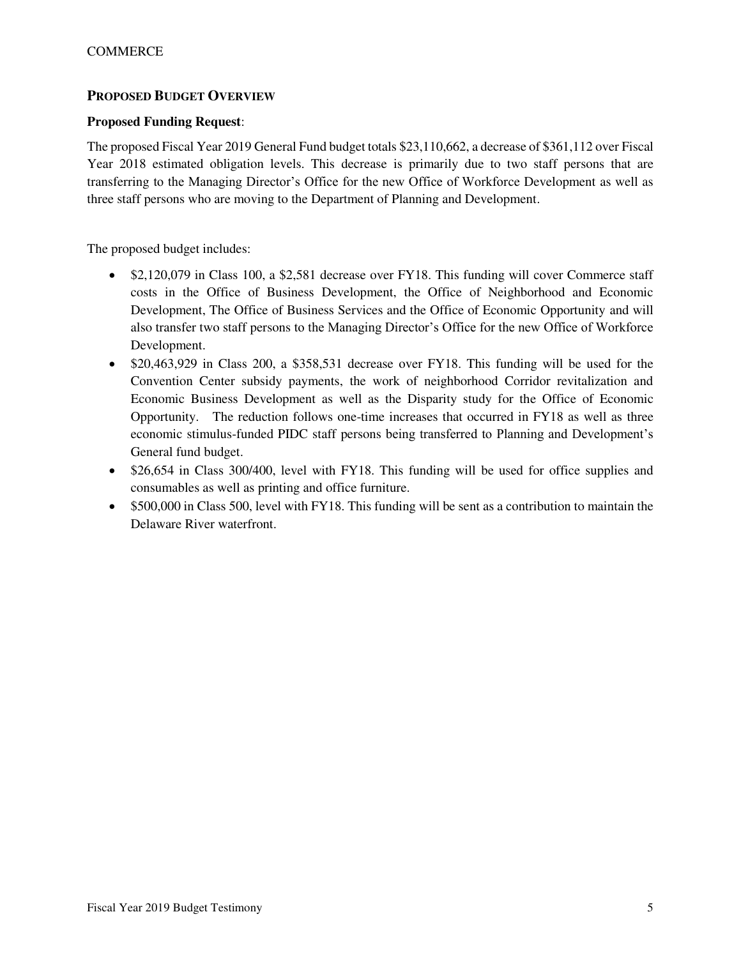# **PROPOSED BUDGET OVERVIEW**

# **Proposed Funding Request**:

The proposed Fiscal Year 2019 General Fund budget totals \$23,110,662, a decrease of \$361,112 over Fiscal Year 2018 estimated obligation levels. This decrease is primarily due to two staff persons that are transferring to the Managing Director's Office for the new Office of Workforce Development as well as three staff persons who are moving to the Department of Planning and Development.

The proposed budget includes:

- \$2,120,079 in Class 100, a \$2,581 decrease over FY18. This funding will cover Commerce staff costs in the Office of Business Development, the Office of Neighborhood and Economic Development, The Office of Business Services and the Office of Economic Opportunity and will also transfer two staff persons to the Managing Director's Office for the new Office of Workforce Development.
- \$20,463,929 in Class 200, a \$358,531 decrease over FY18. This funding will be used for the Convention Center subsidy payments, the work of neighborhood Corridor revitalization and Economic Business Development as well as the Disparity study for the Office of Economic Opportunity. The reduction follows one-time increases that occurred in FY18 as well as three economic stimulus-funded PIDC staff persons being transferred to Planning and Development's General fund budget.
- \$26,654 in Class 300/400, level with FY18. This funding will be used for office supplies and consumables as well as printing and office furniture.
- \$500,000 in Class 500, level with FY18. This funding will be sent as a contribution to maintain the Delaware River waterfront.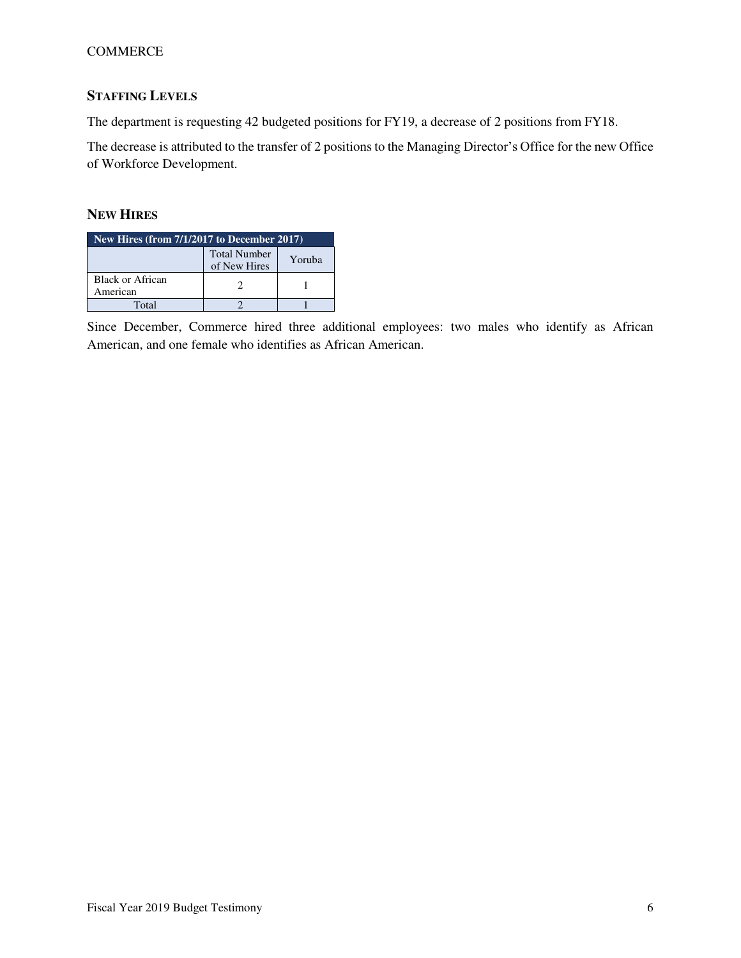# COMMERCE

# **STAFFING LEVELS**

The department is requesting 42 budgeted positions for FY19, a decrease of 2 positions from FY18.

The decrease is attributed to the transfer of 2 positions to the Managing Director's Office for the new Office of Workforce Development.

# **NEW HIRES**

| New Hires (from $7/1/2\overline{017}$ to December 2017) |  |  |  |  |  |  |  |
|---------------------------------------------------------|--|--|--|--|--|--|--|
| <b>Total Number</b><br>Yoruba<br>of New Hires           |  |  |  |  |  |  |  |
| Black or African<br>American                            |  |  |  |  |  |  |  |
| Total                                                   |  |  |  |  |  |  |  |

Since December, Commerce hired three additional employees: two males who identify as African American, and one female who identifies as African American.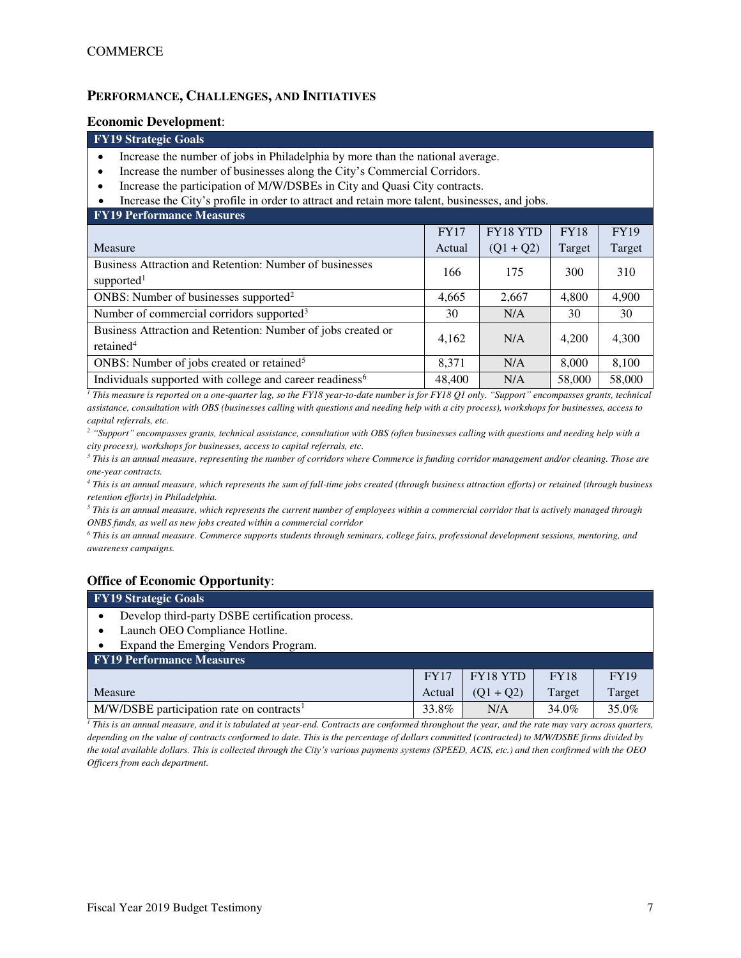## **PERFORMANCE, CHALLENGES, AND INITIATIVES**

#### **Economic Development**:

#### **FY19 Strategic Goals**

- Increase the number of jobs in Philadelphia by more than the national average.
- Increase the number of businesses along the City's Commercial Corridors.
- Increase the participation of M/W/DSBEs in City and Quasi City contracts.

#### • Increase the City's profile in order to attract and retain more talent, businesses, and jobs.

| <b>FY19 Performance Measures</b>                                                      |             |             |             |             |
|---------------------------------------------------------------------------------------|-------------|-------------|-------------|-------------|
|                                                                                       | <b>FY17</b> | FY18 YTD    | <b>FY18</b> | <b>FY19</b> |
| Measure                                                                               | Actual      | $(Q1 + Q2)$ | Target      | Target      |
| Business Attraction and Retention: Number of businesses<br>supported <sup>1</sup>     | 166         | 175         | 300         | 310         |
| ONBS: Number of businesses supported <sup>2</sup>                                     | 4,665       | 2,667       | 4,800       | 4,900       |
| Number of commercial corridors supported <sup>3</sup>                                 | 30          | N/A         | 30          | 30          |
| Business Attraction and Retention: Number of jobs created or<br>retained <sup>4</sup> | 4,162       | N/A         | 4,200       | 4,300       |
| ONBS: Number of jobs created or retained <sup>5</sup>                                 | 8.371       | N/A         | 8,000       | 8,100       |
| Individuals supported with college and career readiness <sup>6</sup>                  | 48,400      | N/A         | 58,000      | 58,000      |

*1 This measure is reported on a one-quarter lag, so the FY18 year-to-date number is for FY18 Q1 only. "Support" encompasses grants, technical assistance, consultation with OBS (businesses calling with questions and needing help with a city process), workshops for businesses, access to capital referrals, etc.* 

<sup>2</sup> "Support" encompasses grants, technical assistance, consultation with OBS (often businesses calling with questions and needing help with a *city process), workshops for businesses, access to capital referrals, etc.* 

*3 This is an annual measure, representing the number of corridors where Commerce is funding corridor management and/or cleaning. Those are one-year contracts.* 

*4 This is an annual measure, which represents the sum of full-time jobs created (through business attraction efforts) or retained (through business retention efforts) in Philadelphia.* 

 $^5$  This is an annual measure, which represents the current number of employees within a commercial corridor that is actively managed through  $\,$ *ONBS funds, as well as new jobs created within a commercial corridor* 

*6 This is an annual measure. Commerce supports students through seminars, college fairs, professional development sessions, mentoring, and awareness campaigns.*

## **Office of Economic Opportunity**:

| <b>FY19 Strategic Goals</b>                             |             |                 |             |             |  |  |  |  |  |
|---------------------------------------------------------|-------------|-----------------|-------------|-------------|--|--|--|--|--|
| Develop third-party DSBE certification process.         |             |                 |             |             |  |  |  |  |  |
| Launch OEO Compliance Hotline.                          |             |                 |             |             |  |  |  |  |  |
| Expand the Emerging Vendors Program.                    |             |                 |             |             |  |  |  |  |  |
| <b>FY19 Performance Measures</b>                        |             |                 |             |             |  |  |  |  |  |
|                                                         | <b>FY17</b> | <b>FY18 YTD</b> | <b>FY18</b> | <b>FY19</b> |  |  |  |  |  |
| Measure                                                 | Actual      | $(Q1 + Q2)$     | Target      | Target      |  |  |  |  |  |
| $M/W/DSBE$ participation rate on contracts <sup>1</sup> | 33.8%       | N/A             | 34.0%       | 35.0%       |  |  |  |  |  |

*1 This is an annual measure, and it is tabulated at year-end. Contracts are conformed throughout the year, and the rate may vary across quarters, depending on the value of contracts conformed to date. This is the percentage of dollars committed (contracted) to M/W/DSBE firms divided by the total available dollars. This is collected through the City's various payments systems (SPEED, ACIS, etc.) and then confirmed with the OEO Officers from each department.*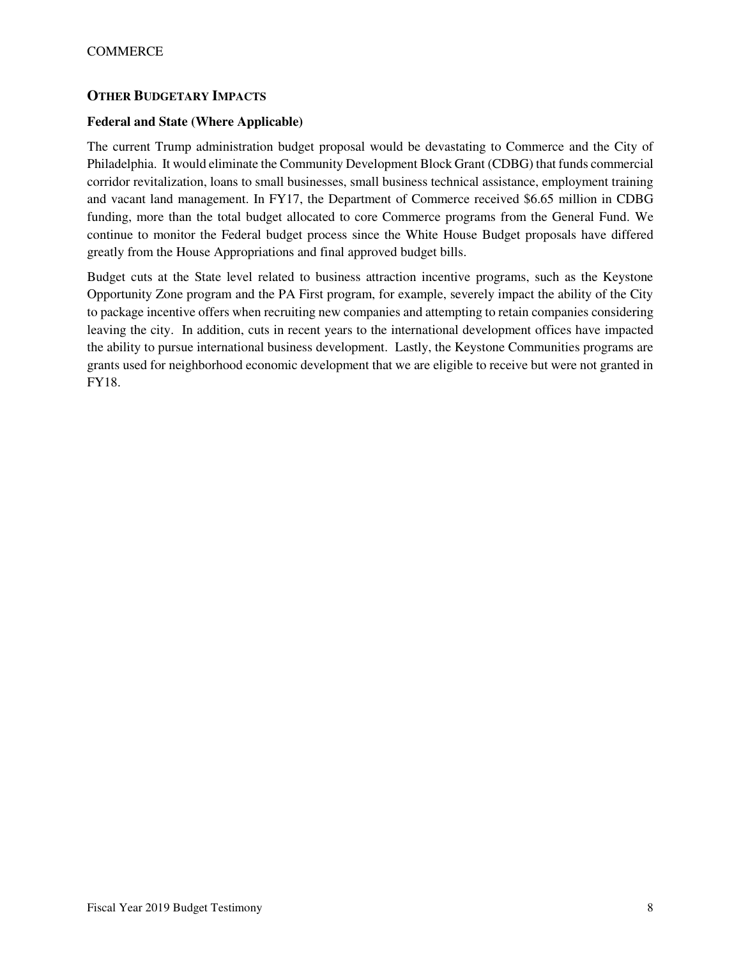# **OTHER BUDGETARY IMPACTS**

## **Federal and State (Where Applicable)**

The current Trump administration budget proposal would be devastating to Commerce and the City of Philadelphia. It would eliminate the Community Development Block Grant (CDBG) that funds commercial corridor revitalization, loans to small businesses, small business technical assistance, employment training and vacant land management. In FY17, the Department of Commerce received \$6.65 million in CDBG funding, more than the total budget allocated to core Commerce programs from the General Fund. We continue to monitor the Federal budget process since the White House Budget proposals have differed greatly from the House Appropriations and final approved budget bills.

Budget cuts at the State level related to business attraction incentive programs, such as the Keystone Opportunity Zone program and the PA First program, for example, severely impact the ability of the City to package incentive offers when recruiting new companies and attempting to retain companies considering leaving the city. In addition, cuts in recent years to the international development offices have impacted the ability to pursue international business development. Lastly, the Keystone Communities programs are grants used for neighborhood economic development that we are eligible to receive but were not granted in FY18.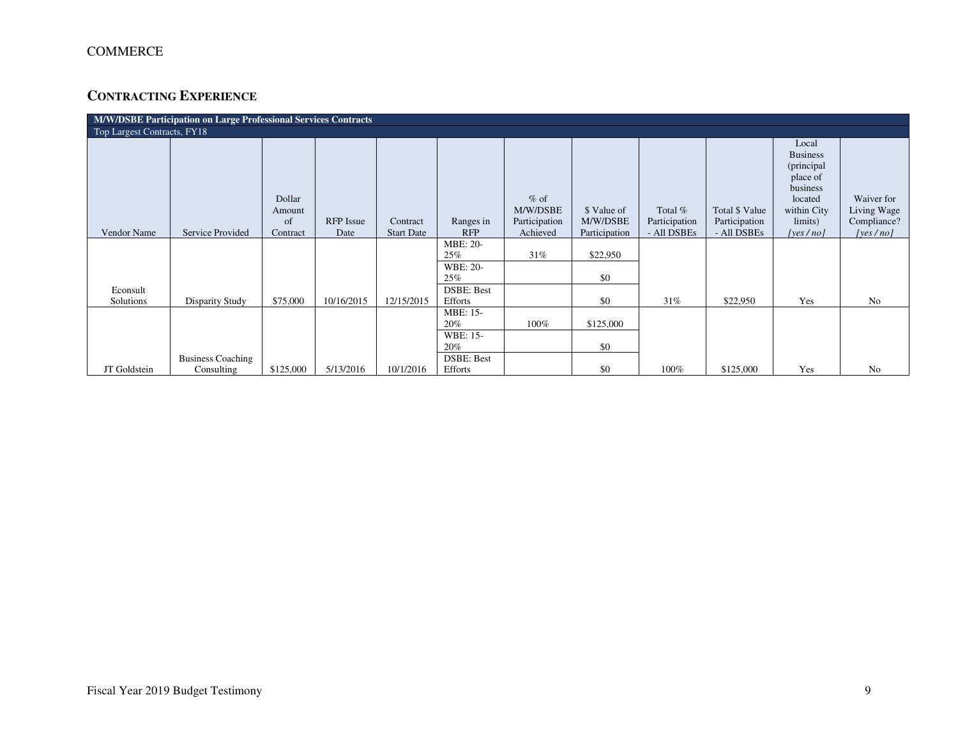# **CONTRACTING EXPERIENCE**

| M/W/DSBE Participation on Large Professional Services Contracts |                                        |                  |                  |                   |                              |                    |               |               |                |                                                                                          |                           |
|-----------------------------------------------------------------|----------------------------------------|------------------|------------------|-------------------|------------------------------|--------------------|---------------|---------------|----------------|------------------------------------------------------------------------------------------|---------------------------|
| Top Largest Contracts, FY18                                     |                                        |                  |                  |                   |                              |                    |               |               |                |                                                                                          |                           |
|                                                                 |                                        | Dollar<br>Amount |                  |                   |                              | $%$ of<br>M/W/DSBE | \$ Value of   | Total %       | Total \$ Value | Local<br><b>Business</b><br>(principal<br>place of<br>business<br>located<br>within City | Waiver for<br>Living Wage |
|                                                                 |                                        | of               | <b>RFP</b> Issue | Contract          | Ranges in                    | Participation      | M/W/DSBE      | Participation | Participation  | limits)                                                                                  | Compliance?               |
| Vendor Name                                                     | Service Provided                       | Contract         | Date             | <b>Start Date</b> | <b>RFP</b>                   | Achieved           | Participation | - All DSBEs   | - All DSBEs    | [yes/no]                                                                                 | [yes/no]                  |
|                                                                 |                                        |                  |                  |                   | MBE: 20-<br>25%              | 31%                | \$22,950      |               |                |                                                                                          |                           |
|                                                                 |                                        |                  |                  |                   | <b>WBE: 20-</b><br>25%       |                    | \$0           |               |                |                                                                                          |                           |
| Econsult<br>Solutions                                           | Disparity Study                        | \$75,000         | 10/16/2015       | 12/15/2015        | <b>DSBE: Best</b><br>Efforts |                    | \$0           | 31%           | \$22,950       | Yes                                                                                      | N <sub>o</sub>            |
|                                                                 |                                        |                  |                  |                   | MBE: 15-<br>20%              | 100%               | \$125,000     |               |                |                                                                                          |                           |
|                                                                 |                                        |                  |                  |                   | WBE: 15-<br>20%              |                    | \$0           |               |                |                                                                                          |                           |
| JT Goldstein                                                    | <b>Business Coaching</b><br>Consulting | \$125,000        | 5/13/2016        | 10/1/2016         | <b>DSBE: Best</b><br>Efforts |                    | \$0           | 100%          | \$125,000      | Yes                                                                                      | No                        |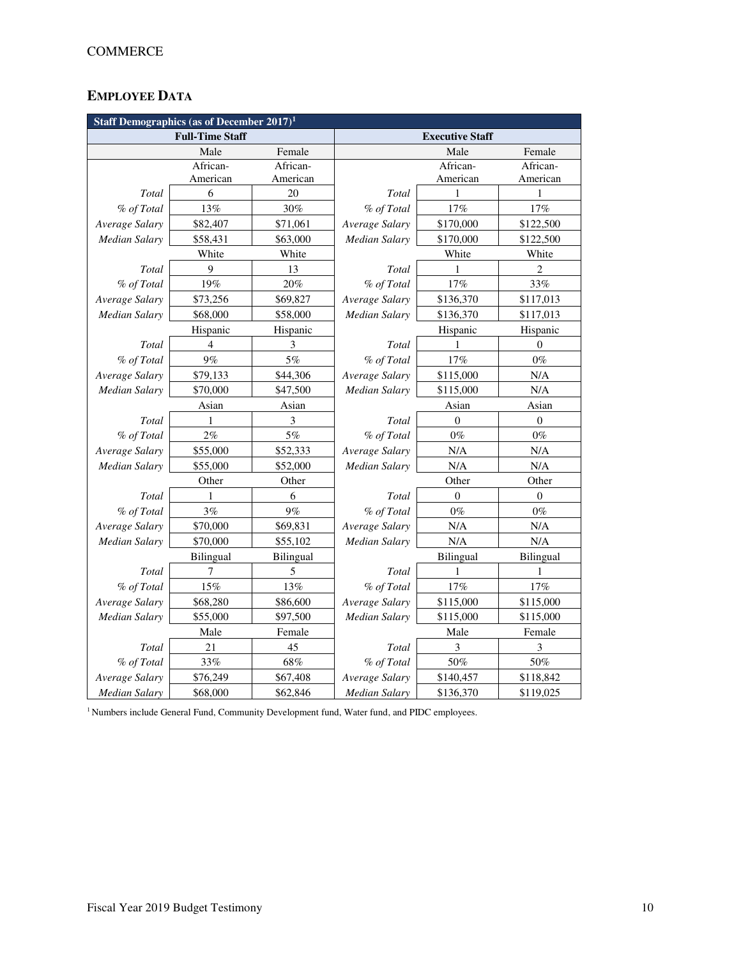# **EMPLOYEE DATA**

| <b>Staff Demographics (as of December 2017)<sup>1</sup></b> |                        |           |                |                        |                  |  |  |  |  |
|-------------------------------------------------------------|------------------------|-----------|----------------|------------------------|------------------|--|--|--|--|
|                                                             | <b>Full-Time Staff</b> |           |                | <b>Executive Staff</b> |                  |  |  |  |  |
|                                                             | Male                   | Female    |                | Male                   | Female           |  |  |  |  |
|                                                             | African-               | African-  |                | African-               | African-         |  |  |  |  |
|                                                             | American               | American  |                | American               | American         |  |  |  |  |
| Total                                                       | 6                      | 20        | Total          | 1                      | 1                |  |  |  |  |
| % of Total                                                  | 13%                    | 30%       | % of Total     | 17%                    | 17%              |  |  |  |  |
| Average Salary                                              | \$82,407               | \$71,061  | Average Salary | \$170,000              | \$122,500        |  |  |  |  |
| <b>Median Salary</b>                                        | \$58,431               | \$63,000  | Median Salary  | \$170,000              | \$122,500        |  |  |  |  |
|                                                             | White                  | White     |                | White                  | White            |  |  |  |  |
| Total                                                       | 9                      | 13        | Total          | 1                      | $\overline{c}$   |  |  |  |  |
| % of Total                                                  | 19%                    | 20%       | % of Total     | 17%                    | 33%              |  |  |  |  |
| Average Salary                                              | \$73,256               | \$69,827  | Average Salary | \$136,370              | \$117,013        |  |  |  |  |
| <b>Median Salary</b>                                        | \$68,000               | \$58,000  | Median Salary  | \$136,370              | \$117,013        |  |  |  |  |
|                                                             | Hispanic               | Hispanic  |                | Hispanic               | Hispanic         |  |  |  |  |
| Total                                                       | $\overline{4}$         | 3         | Total          | $\mathbf{1}$           | $\theta$         |  |  |  |  |
| % of Total                                                  | 9%                     | 5%        | % of Total     | 17%                    | $0\%$            |  |  |  |  |
| Average Salary                                              | \$79,133               | \$44,306  | Average Salary | \$115,000              | N/A              |  |  |  |  |
| <b>Median Salary</b>                                        | \$70,000               | \$47,500  | Median Salary  | \$115,000              | N/A              |  |  |  |  |
|                                                             | Asian                  | Asian     |                | Asian                  | Asian            |  |  |  |  |
| Total                                                       | 1                      | 3         | Total          | $\theta$               | $\mathbf{0}$     |  |  |  |  |
| % of Total                                                  | 2%                     | 5%        | % of Total     | $0\%$                  | $0\%$            |  |  |  |  |
| Average Salary                                              | \$55,000               | \$52,333  | Average Salary | N/A                    | N/A              |  |  |  |  |
| Median Salary                                               | \$55,000               | \$52,000  | Median Salary  | N/A                    | N/A              |  |  |  |  |
|                                                             | Other                  | Other     | Other<br>Other |                        |                  |  |  |  |  |
| Total                                                       | 1                      | 6         | Total          | $\theta$               | $\theta$         |  |  |  |  |
| % of Total                                                  | 3%                     | 9%        | % of Total     | $0\%$                  | $0\%$            |  |  |  |  |
| Average Salary                                              | \$70,000               | \$69,831  | Average Salary | N/A                    | N/A              |  |  |  |  |
| <b>Median Salary</b>                                        | \$70,000               | \$55,102  | Median Salary  | N/A                    | N/A              |  |  |  |  |
|                                                             | <b>Bilingual</b>       | Bilingual |                | <b>Bilingual</b>       | <b>Bilingual</b> |  |  |  |  |
| Total                                                       | 7                      | 5         | Total          | 1                      | 1                |  |  |  |  |
| % of Total                                                  | 15%                    | 13%       | % of Total     | 17%                    | 17%              |  |  |  |  |
| Average Salary                                              | \$68,280               | \$86,600  | Average Salary | \$115,000              | \$115,000        |  |  |  |  |
| Median Salary                                               | \$55,000               | \$97,500  | Median Salary  | \$115,000              | \$115,000        |  |  |  |  |
| Male                                                        |                        | Female    |                | Male                   | Female           |  |  |  |  |
| Total                                                       | 21                     | 45        | Total          | 3                      | 3                |  |  |  |  |
| % of Total                                                  | 33%                    | 68%       | % of Total     | 50%                    | 50%              |  |  |  |  |
| Average Salary                                              | \$76,249               | \$67,408  | Average Salary | \$140,457              | \$118,842        |  |  |  |  |
| Median Salary                                               | \$68,000               | \$62,846  | Median Salary  | \$136,370              | \$119,025        |  |  |  |  |

<sup>1</sup> Numbers include General Fund, Community Development fund, Water fund, and PIDC employees.